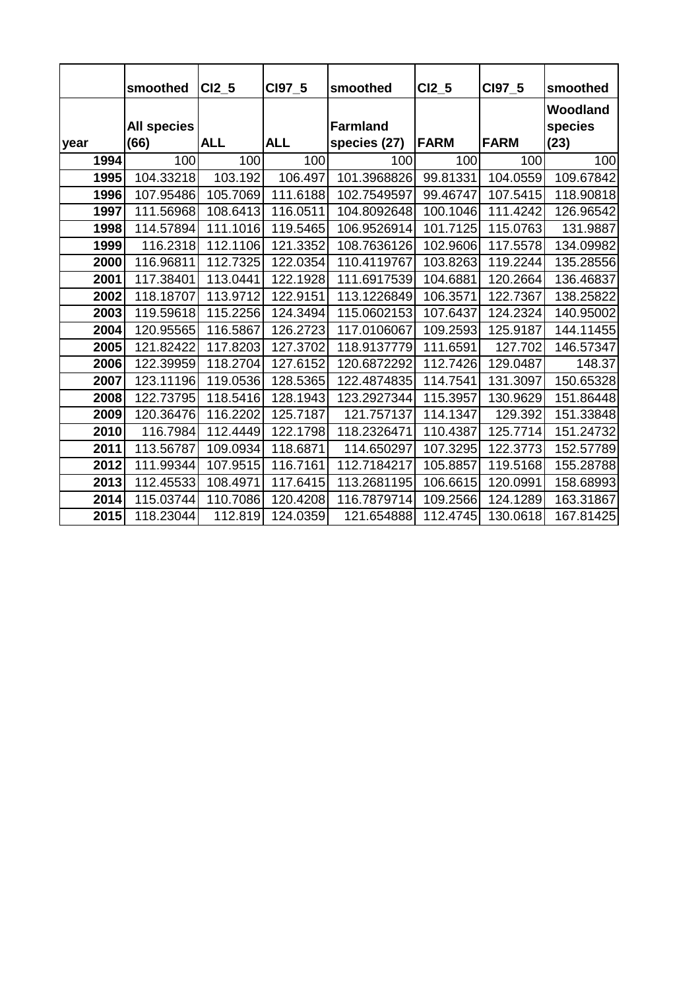|      | smoothed                   | <b>CI2 5</b> | CI97 5     | smoothed                        | $CI2_5$     | CI97_5      | smoothed                    |
|------|----------------------------|--------------|------------|---------------------------------|-------------|-------------|-----------------------------|
| year | <b>All species</b><br>(66) | <b>ALL</b>   | <b>ALL</b> | <b>Farmland</b><br>species (27) | <b>FARM</b> | <b>FARM</b> | Woodland<br>species<br>(23) |
| 1994 | 100                        | 100          | 100        | 100                             | 100         | 100         | 100                         |
| 1995 | 104.33218                  | 103.192      | 106.497    | 101.3968826                     | 99.81331    | 104.0559    | 109.67842                   |
| 1996 | 107.95486                  | 105.7069     | 111.6188   | 102.7549597                     | 99.46747    | 107.5415    | 118.90818                   |
| 1997 | 111.56968                  | 108.6413     | 116.0511   | 104.8092648                     | 100.1046    | 111.4242    | 126.96542                   |
| 1998 | 114.57894                  | 111.1016     | 119.5465   | 106.9526914                     | 101.7125    | 115.0763    | 131.9887                    |
| 1999 | 116.2318                   | 112.1106     | 121.3352   | 108.7636126                     | 102.9606    | 117.5578    | 134.09982                   |
| 2000 | 116.96811                  | 112.7325     | 122.0354   | 110.4119767                     | 103.8263    | 119.2244    | 135.28556                   |
| 2001 | 117.38401                  | 113.0441     | 122.1928   | 111.6917539                     | 104.6881    | 120.2664    | 136.46837                   |
| 2002 | 118.18707                  | 113.9712     | 122.9151   | 113.1226849                     | 106.3571    | 122.7367    | 138.25822                   |
| 2003 | 119.59618                  | 115.2256     | 124.3494   | 115.0602153                     | 107.6437    | 124.2324    | 140.95002                   |
| 2004 | 120.95565                  | 116.5867     | 126.2723   | 117.0106067                     | 109.2593    | 125.9187    | 144.11455                   |
| 2005 | 121.82422                  | 117.8203     | 127.3702   | 118.9137779                     | 111.6591    | 127.702     | 146.57347                   |
| 2006 | 122.39959                  | 118.2704     | 127.6152   | 120.6872292                     | 112.7426    | 129.0487    | 148.37                      |
| 2007 | 123.11196                  | 119.0536     | 128.5365   | 122.4874835                     | 114.7541    | 131.3097    | 150.65328                   |
| 2008 | 122.73795                  | 118.5416     | 128.1943   | 123.2927344                     | 115.3957    | 130.9629    | 151.86448                   |
| 2009 | 120.36476                  | 116.2202     | 125.7187   | 121.757137                      | 114.1347    | 129.392     | 151.33848                   |
| 2010 | 116.7984                   | 112.4449     | 122.1798   | 118.2326471                     | 110.4387    | 125.7714    | 151.24732                   |
| 2011 | 113.56787                  | 109.0934     | 118.6871   | 114.650297                      | 107.3295    | 122.3773    | 152.57789                   |
| 2012 | 111.99344                  | 107.9515     | 116.7161   | 112.7184217                     | 105.8857    | 119.5168    | 155.28788                   |
| 2013 | 112.45533                  | 108.4971     | 117.6415   | 113.2681195                     | 106.6615    | 120.0991    | 158.68993                   |
| 2014 | 115.03744                  | 110.7086     | 120.4208   | 116.7879714                     | 109.2566    | 124.1289    | 163.31867                   |
| 2015 | 118.23044                  | 112.819      | 124.0359   | 121.654888                      | 112.4745    | 130.0618    | 167.81425                   |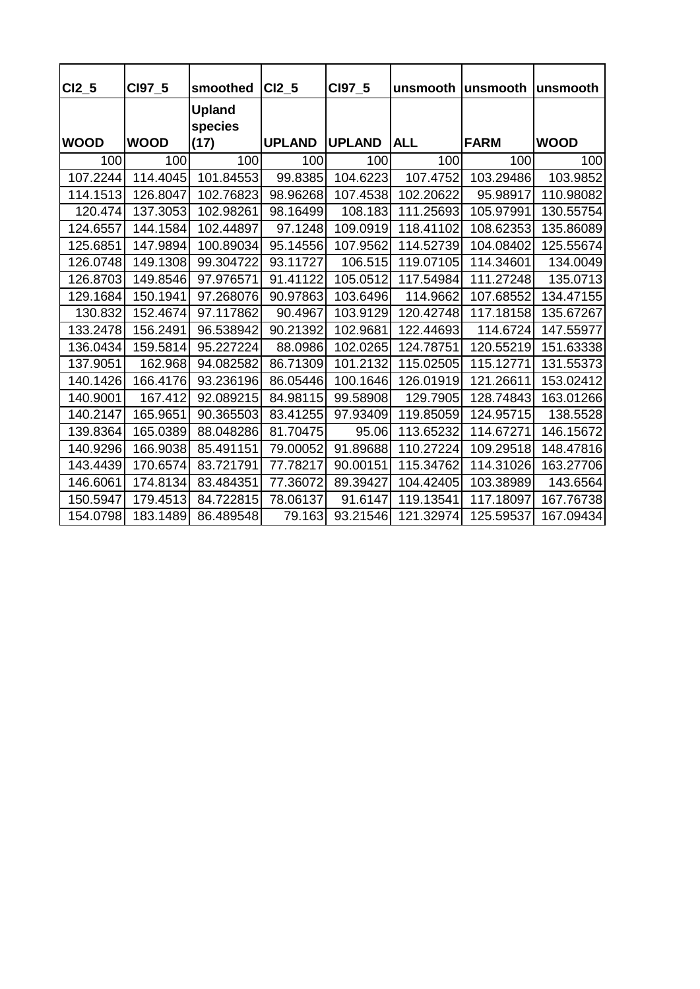| CI2 5       | CI97_5      | smoothed                 | <b>CI2 5</b>  | CI97 5        | unsmooth   | unsmooth    | lunsmooth   |
|-------------|-------------|--------------------------|---------------|---------------|------------|-------------|-------------|
|             |             | <b>Upland</b><br>species |               |               |            |             |             |
| <b>WOOD</b> | <b>WOOD</b> | (17)                     | <b>UPLAND</b> | <b>UPLAND</b> | <b>ALL</b> | <b>FARM</b> | <b>WOOD</b> |
| 100         | 100         | 100                      | 100           | 100           | 100        | 100         | 100         |
| 107.2244    | 114.4045    | 101.84553                | 99.8385       | 104.6223      | 107.4752   | 103.29486   | 103.9852    |
| 114.1513    | 126.8047    | 102.76823                | 98.96268      | 107.4538      | 102.20622  | 95.98917    | 110.98082   |
| 120.474     | 137.3053    | 102.98261                | 98.16499      | 108.183       | 111.25693  | 105.97991   | 130.55754   |
| 124.6557    | 144.1584    | 102.44897                | 97.1248       | 109.0919      | 118.41102  | 108.62353   | 135.86089   |
| 125.6851    | 147.9894    | 100.89034                | 95.14556      | 107.9562      | 114.52739  | 104.08402   | 125.55674   |
| 126.0748    | 149.1308    | 99.304722                | 93.11727      | 106.515       | 119.07105  | 114.34601   | 134.0049    |
| 126.8703    | 149.8546    | 97.976571                | 91.41122      | 105.0512      | 117.54984  | 111.27248   | 135.0713    |
| 129.1684    | 150.1941    | 97.268076                | 90.97863      | 103.6496      | 114.9662   | 107.68552   | 134.47155   |
| 130.832     | 152.4674    | 97.117862                | 90.4967       | 103.9129      | 120.42748  | 117.18158   | 135.67267   |
| 133.2478    | 156.2491    | 96.538942                | 90.21392      | 102.9681      | 122.44693  | 114.6724    | 147.55977   |
| 136.0434    | 159.5814    | 95.227224                | 88.0986       | 102.0265      | 124.78751  | 120.55219   | 151.63338   |
| 137.9051    | 162.968     | 94.082582                | 86.71309      | 101.2132      | 115.02505  | 115.12771   | 131.55373   |
| 140.1426    | 166.4176    | 93.236196                | 86.05446      | 100.1646      | 126.01919  | 121.26611   | 153.02412   |
| 140.9001    | 167.412     | 92.089215                | 84.98115      | 99.58908      | 129.7905   | 128.74843   | 163.01266   |
| 140.2147    | 165.9651    | 90.365503                | 83.41255      | 97.93409      | 119.85059  | 124.95715   | 138.5528    |
| 139.8364    | 165.0389    | 88.048286                | 81.70475      | 95.06         | 113.65232  | 114.67271   | 146.15672   |
| 140.9296    | 166.9038    | 85.491151                | 79.00052      | 91.89688      | 110.27224  | 109.29518   | 148.47816   |
| 143.4439    | 170.6574    | 83.721791                | 77.78217      | 90.00151      | 115.34762  | 114.31026   | 163.27706   |
| 146.6061    | 174.8134    | 83.484351                | 77.36072      | 89.39427      | 104.42405  | 103.38989   | 143.6564    |
| 150.5947    | 179.4513    | 84.722815                | 78.06137      | 91.6147       | 119.13541  | 117.18097   | 167.76738   |
| 154.0798    | 183.1489    | 86.489548                | 79.163        | 93.21546      | 121.32974  | 125.59537   | 167.09434   |